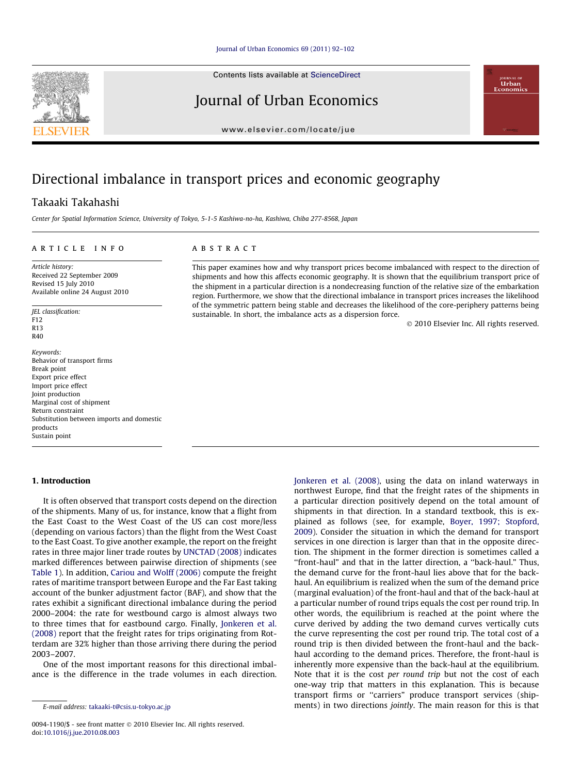

Contents lists available at [ScienceDirect](http://www.sciencedirect.com/science/journal/00941190)

### Journal of Urban Economics

[www.elsevier.com/locate/jue](http://www.elsevier.com/locate/jue)

## Directional imbalance in transport prices and economic geography

### Takaaki Takahashi

Center for Spatial Information Science, University of Tokyo, 5-1-5 Kashiwa-no-ha, Kashiwa, Chiba 277-8568, Japan

#### article info

Article history: Received 22 September 2009 Revised 15 July 2010 Available online 24 August 2010

JEL classification: F12 R13 R40

Keywords: Behavior of transport firms Break point Export price effect Import price effect Joint production Marginal cost of shipment Return constraint Substitution between imports and domestic products Sustain point

#### 1. Introduction

It is often observed that transport costs depend on the direction of the shipments. Many of us, for instance, know that a flight from the East Coast to the West Coast of the US can cost more/less (depending on various factors) than the flight from the West Coast to the East Coast. To give another example, the report on the freight rates in three major liner trade routes by [UNCTAD \(2008\)](#page--1-0) indicates marked differences between pairwise direction of shipments (see [Table 1](#page-1-0)). In addition, [Cariou and Wolff \(2006\)](#page--1-0) compute the freight rates of maritime transport between Europe and the Far East taking account of the bunker adjustment factor (BAF), and show that the rates exhibit a significant directional imbalance during the period 2000–2004: the rate for westbound cargo is almost always two to three times that for eastbound cargo. Finally, [Jonkeren et al.](#page--1-0) [\(2008\)](#page--1-0) report that the freight rates for trips originating from Rotterdam are 32% higher than those arriving there during the period 2003–2007.

One of the most important reasons for this directional imbalance is the difference in the trade volumes in each direction.

#### A B S T R A C T

This paper examines how and why transport prices become imbalanced with respect to the direction of shipments and how this affects economic geography. It is shown that the equilibrium transport price of the shipment in a particular direction is a nondecreasing function of the relative size of the embarkation region. Furthermore, we show that the directional imbalance in transport prices increases the likelihood of the symmetric pattern being stable and decreases the likelihood of the core-periphery patterns being sustainable. In short, the imbalance acts as a dispersion force.

- 2010 Elsevier Inc. All rights reserved.

**Urban** 

[Jonkeren et al. \(2008\)](#page--1-0), using the data on inland waterways in northwest Europe, find that the freight rates of the shipments in a particular direction positively depend on the total amount of shipments in that direction. In a standard textbook, this is explained as follows (see, for example, [Boyer, 1997; Stopford,](#page--1-0) [2009\)](#page--1-0). Consider the situation in which the demand for transport services in one direction is larger than that in the opposite direction. The shipment in the former direction is sometimes called a ''front-haul" and that in the latter direction, a ''back-haul." Thus, the demand curve for the front-haul lies above that for the backhaul. An equilibrium is realized when the sum of the demand price (marginal evaluation) of the front-haul and that of the back-haul at a particular number of round trips equals the cost per round trip. In other words, the equilibrium is reached at the point where the curve derived by adding the two demand curves vertically cuts the curve representing the cost per round trip. The total cost of a round trip is then divided between the front-haul and the backhaul according to the demand prices. Therefore, the front-haul is inherently more expensive than the back-haul at the equilibrium. Note that it is the cost per round trip but not the cost of each one-way trip that matters in this explanation. This is because transport firms or ''carriers" produce transport services (shipments) in two directions jointly. The main reason for this is that

E-mail address: [takaaki-t@csis.u-tokyo.ac.jp](mailto:takaaki-t@csis.u-tokyo.ac.jp)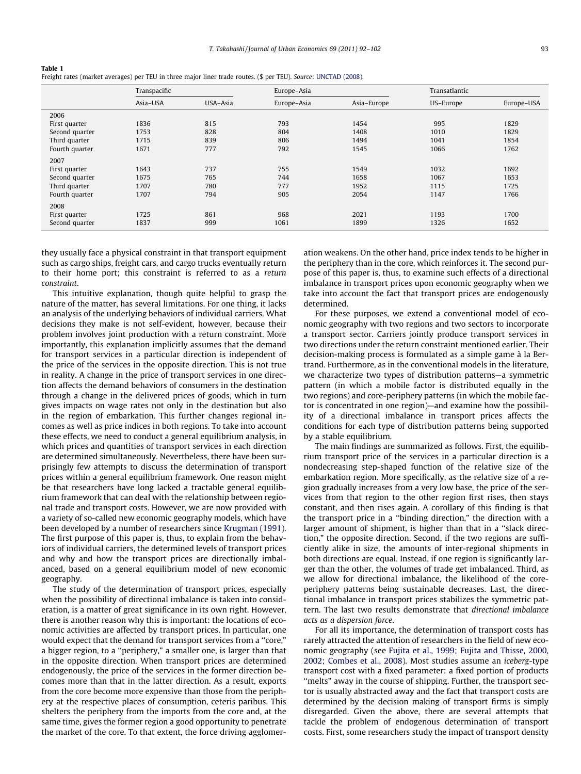|                | Transpacific |          | Europe-Asia |             | Transatlantic |            |
|----------------|--------------|----------|-------------|-------------|---------------|------------|
|                | Asia-USA     | USA-Asia | Europe-Asia | Asia-Europe | US-Europe     | Europe-USA |
| 2006           |              |          |             |             |               |            |
| First quarter  | 1836         | 815      | 793         | 1454        | 995           | 1829       |
| Second quarter | 1753         | 828      | 804         | 1408        | 1010          | 1829       |
| Third quarter  | 1715         | 839      | 806         | 1494        | 1041          | 1854       |
| Fourth quarter | 1671         | 777      | 792         | 1545        | 1066          | 1762       |
| 2007           |              |          |             |             |               |            |
| First quarter  | 1643         | 737      | 755         | 1549        | 1032          | 1692       |
| Second quarter | 1675         | 765      | 744         | 1658        | 1067          | 1653       |
| Third quarter  | 1707         | 780      | 777         | 1952        | 1115          | 1725       |
| Fourth quarter | 1707         | 794      | 905         | 2054        | 1147          | 1766       |
| 2008           |              |          |             |             |               |            |
| First quarter  | 1725         | 861      | 968         | 2021        | 1193          | 1700       |
| Second quarter | 1837         | 999      | 1061        | 1899        | 1326          | 1652       |

| -------                                                                                                         |  |  |
|-----------------------------------------------------------------------------------------------------------------|--|--|
| Freight rates (market averages) per TEU in three major liner trade routes. (\$ per TEU). Source: UNCTAD (2008). |  |  |

<span id="page-1-0"></span>Table 1

they usually face a physical constraint in that transport equipment such as cargo ships, freight cars, and cargo trucks eventually return to their home port; this constraint is referred to as a return constraint.

This intuitive explanation, though quite helpful to grasp the nature of the matter, has several limitations. For one thing, it lacks an analysis of the underlying behaviors of individual carriers. What decisions they make is not self-evident, however, because their problem involves joint production with a return constraint. More importantly, this explanation implicitly assumes that the demand for transport services in a particular direction is independent of the price of the services in the opposite direction. This is not true in reality. A change in the price of transport services in one direction affects the demand behaviors of consumers in the destination through a change in the delivered prices of goods, which in turn gives impacts on wage rates not only in the destination but also in the region of embarkation. This further changes regional incomes as well as price indices in both regions. To take into account these effects, we need to conduct a general equilibrium analysis, in which prices and quantities of transport services in each direction are determined simultaneously. Nevertheless, there have been surprisingly few attempts to discuss the determination of transport prices within a general equilibrium framework. One reason might be that researchers have long lacked a tractable general equilibrium framework that can deal with the relationship between regional trade and transport costs. However, we are now provided with a variety of so-called new economic geography models, which have been developed by a number of researchers since [Krugman \(1991\).](#page--1-0) The first purpose of this paper is, thus, to explain from the behaviors of individual carriers, the determined levels of transport prices and why and how the transport prices are directionally imbalanced, based on a general equilibrium model of new economic geography.

The study of the determination of transport prices, especially when the possibility of directional imbalance is taken into consideration, is a matter of great significance in its own right. However, there is another reason why this is important: the locations of economic activities are affected by transport prices. In particular, one would expect that the demand for transport services from a ''core," a bigger region, to a ''periphery," a smaller one, is larger than that in the opposite direction. When transport prices are determined endogenously, the price of the services in the former direction becomes more than that in the latter direction. As a result, exports from the core become more expensive than those from the periphery at the respective places of consumption, ceteris paribus. This shelters the periphery from the imports from the core and, at the same time, gives the former region a good opportunity to penetrate the market of the core. To that extent, the force driving agglomeration weakens. On the other hand, price index tends to be higher in the periphery than in the core, which reinforces it. The second purpose of this paper is, thus, to examine such effects of a directional imbalance in transport prices upon economic geography when we take into account the fact that transport prices are endogenously determined.

For these purposes, we extend a conventional model of economic geography with two regions and two sectors to incorporate a transport sector. Carriers jointly produce transport services in two directions under the return constraint mentioned earlier. Their decision-making process is formulated as a simple game à la Bertrand. Furthermore, as in the conventional models in the literature, we characterize two types of distribution patterns—a symmetric pattern (in which a mobile factor is distributed equally in the two regions) and core-periphery patterns (in which the mobile factor is concentrated in one region)—and examine how the possibility of a directional imbalance in transport prices affects the conditions for each type of distribution patterns being supported by a stable equilibrium.

The main findings are summarized as follows. First, the equilibrium transport price of the services in a particular direction is a nondecreasing step-shaped function of the relative size of the embarkation region. More specifically, as the relative size of a region gradually increases from a very low base, the price of the services from that region to the other region first rises, then stays constant, and then rises again. A corollary of this finding is that the transport price in a ''binding direction," the direction with a larger amount of shipment, is higher than that in a ''slack direction," the opposite direction. Second, if the two regions are sufficiently alike in size, the amounts of inter-regional shipments in both directions are equal. Instead, if one region is significantly larger than the other, the volumes of trade get imbalanced. Third, as we allow for directional imbalance, the likelihood of the coreperiphery patterns being sustainable decreases. Last, the directional imbalance in transport prices stabilizes the symmetric pattern. The last two results demonstrate that directional imbalance acts as a dispersion force.

For all its importance, the determination of transport costs has rarely attracted the attention of researchers in the field of new economic geography (see [Fujita et al., 1999; Fujita and Thisse, 2000,](#page--1-0) [2002; Combes et al., 2008\)](#page--1-0). Most studies assume an iceberg-type transport cost with a fixed parameter: a fixed portion of products "melts" away in the course of shipping. Further, the transport sector is usually abstracted away and the fact that transport costs are determined by the decision making of transport firms is simply disregarded. Given the above, there are several attempts that tackle the problem of endogenous determination of transport costs. First, some researchers study the impact of transport density